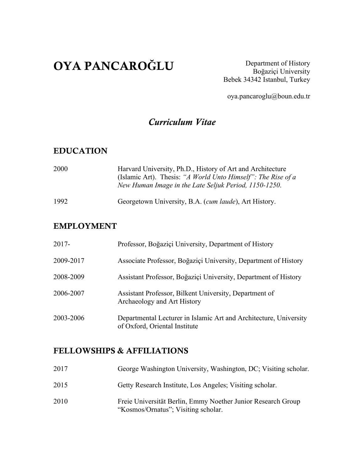# OYA PANCARO**Ğ**LU

Department of History Boğaziçi University Bebek 34342 Istanbul, Turkey

oya.pancaroglu@boun.edu.tr

#### *Curriculum Vitae*

#### EDUCATION

| 2000 | Harvard University, Ph.D., History of Art and Architecture<br>(Islamic Art). Thesis: "A World Unto Himself": The Rise of a<br>New Human Image in the Late Seljuk Period, 1150-1250. |
|------|-------------------------------------------------------------------------------------------------------------------------------------------------------------------------------------|
| 1992 | Georgetown University, B.A. <i>(cum laude)</i> , Art History.                                                                                                                       |

#### EMPLOYMENT

| $2017 -$  | Professor, Boğaziçi University, Department of History                                              |
|-----------|----------------------------------------------------------------------------------------------------|
| 2009-2017 | Associate Professor, Boğaziçi University, Department of History                                    |
| 2008-2009 | Assistant Professor, Boğaziçi University, Department of History                                    |
| 2006-2007 | Assistant Professor, Bilkent University, Department of<br>Archaeology and Art History              |
| 2003-2006 | Departmental Lecturer in Islamic Art and Architecture, University<br>of Oxford, Oriental Institute |

#### FELLOWSHIPS & AFFILIATIONS

| 2017 | George Washington University, Washington, DC; Visiting scholar.                                     |
|------|-----------------------------------------------------------------------------------------------------|
| 2015 | Getty Research Institute, Los Angeles; Visiting scholar.                                            |
| 2010 | Freie Universität Berlin, Emmy Noether Junior Research Group<br>"Kosmos/Ornatus"; Visiting scholar. |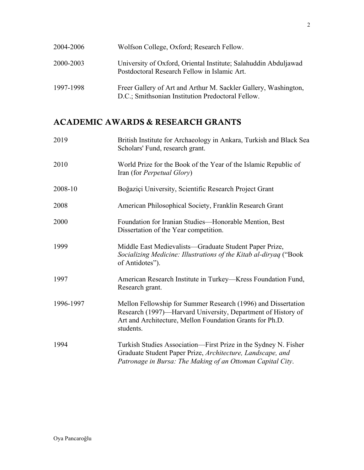| 2004-2006 | Wolfson College, Oxford; Research Fellow.                                                                            |
|-----------|----------------------------------------------------------------------------------------------------------------------|
| 2000-2003 | University of Oxford, Oriental Institute; Salahuddin Abduljawad<br>Postdoctoral Research Fellow in Islamic Art.      |
| 1997-1998 | Freer Gallery of Art and Arthur M. Sackler Gallery, Washington,<br>D.C.; Smithsonian Institution Predoctoral Fellow. |

## ACADEMIC AWARDS & RESEARCH GRANTS

| 2019      | British Institute for Archaeology in Ankara, Turkish and Black Sea<br>Scholars' Fund, research grant.                                                                                                  |
|-----------|--------------------------------------------------------------------------------------------------------------------------------------------------------------------------------------------------------|
| 2010      | World Prize for the Book of the Year of the Islamic Republic of<br>Iran (for <i>Perpetual Glory</i> )                                                                                                  |
| 2008-10   | Boğaziçi University, Scientific Research Project Grant                                                                                                                                                 |
| 2008      | American Philosophical Society, Franklin Research Grant                                                                                                                                                |
| 2000      | Foundation for Iranian Studies-Honorable Mention, Best<br>Dissertation of the Year competition.                                                                                                        |
| 1999      | Middle East Medievalists—Graduate Student Paper Prize,<br>Socializing Medicine: Illustrations of the Kitab al-diryaq ("Book"<br>of Antidotes").                                                        |
| 1997      | American Research Institute in Turkey—Kress Foundation Fund,<br>Research grant.                                                                                                                        |
| 1996-1997 | Mellon Fellowship for Summer Research (1996) and Dissertation<br>Research (1997)—Harvard University, Department of History of<br>Art and Architecture, Mellon Foundation Grants for Ph.D.<br>students. |
| 1994      | Turkish Studies Association—First Prize in the Sydney N. Fisher<br>Graduate Student Paper Prize, Architecture, Landscape, and<br>Patronage in Bursa: The Making of an Ottoman Capital City.            |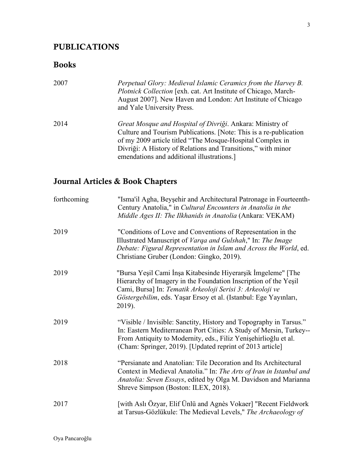#### PUBLICATIONS

#### Books

| 2007 | Perpetual Glory: Medieval Islamic Ceramics from the Harvey B.<br><i>Plotnick Collection</i> [exh. cat. Art Institute of Chicago, March-<br>August 2007]. New Haven and London: Art Institute of Chicago<br>and Yale University Press.                                                                    |
|------|----------------------------------------------------------------------------------------------------------------------------------------------------------------------------------------------------------------------------------------------------------------------------------------------------------|
| 2014 | Great Mosque and Hospital of Divriği. Ankara: Ministry of<br>Culture and Tourism Publications. [Note: This is a re-publication<br>of my 2009 article titled "The Mosque-Hospital Complex in<br>Divriği: A History of Relations and Transitions," with minor<br>emendations and additional illustrations. |

## Journal Articles & Book Chapters

| forthcoming | "Isma'il Agha, Beyşehir and Architectural Patronage in Fourteenth-<br>Century Anatolia," in Cultural Encounters in Anatolia in the<br>Middle Ages II: The Ilkhanids in Anatolia (Ankara: VEKAM)                                                                            |
|-------------|----------------------------------------------------------------------------------------------------------------------------------------------------------------------------------------------------------------------------------------------------------------------------|
| 2019        | "Conditions of Love and Conventions of Representation in the<br>Illustrated Manuscript of Varga and Gulshah," In: The Image<br>Debate: Figural Representation in Islam and Across the World, ed.<br>Christiane Gruber (London: Gingko, 2019).                              |
| 2019        | "Bursa Yeşil Cami İnşa Kitabesinde Hiyerarşik İmgeleme" [The<br>Hierarchy of Imagery in the Foundation Inscription of the Yeşil<br>Cami, Bursa] In: Tematik Arkeoloji Serisi 3: Arkeoloji ve<br>Göstergebilim, eds. Yaşar Ersoy et al. (Istanbul: Ege Yayınları,<br>2019). |
| 2019        | "Visible / Invisible: Sanctity, History and Topography in Tarsus."<br>In: Eastern Mediterranean Port Cities: A Study of Mersin, Turkey--<br>From Antiquity to Modernity, eds., Filiz Yenişehirlioğlu et al.<br>(Cham: Springer, 2019). [Updated reprint of 2013 article]   |
| 2018        | "Persianate and Anatolian: Tile Decoration and Its Architectural<br>Context in Medieval Anatolia." In: The Arts of Iran in Istanbul and<br>Anatolia: Seven Essays, edited by Olga M. Davidson and Marianna<br>Shreve Simpson (Boston: ILEX, 2018).                         |
| 2017        | [with Aslı Özyar, Elif Ünlü and Agnès Vokaer] "Recent Fieldwork<br>at Tarsus-Gözlükule: The Medieval Levels," The Archaeology of                                                                                                                                           |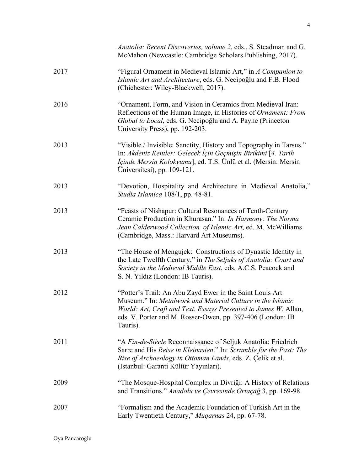|      | Anatolia: Recent Discoveries, volume 2, eds., S. Steadman and G.<br>McMahon (Newcastle: Cambridge Scholars Publishing, 2017).                                                                                                                                       |
|------|---------------------------------------------------------------------------------------------------------------------------------------------------------------------------------------------------------------------------------------------------------------------|
| 2017 | "Figural Ornament in Medieval Islamic Art," in A Companion to<br>Islamic Art and Architecture, eds. G. Necipoğlu and F.B. Flood<br>(Chichester: Wiley-Blackwell, 2017).                                                                                             |
| 2016 | "Ornament, Form, and Vision in Ceramics from Medieval Iran:<br>Reflections of the Human Image, in Histories of Ornament: From<br>Global to Local, eds. G. Necipoğlu and A. Payne (Princeton<br>University Press), pp. 192-203.                                      |
| 2013 | "Visible / Invisible: Sanctity, History and Topography in Tarsus."<br>In: Akdeniz Kentler: Gelecek İçin Geçmişin Birikimi [4. Tarih<br><i>Içinde Mersin Kolokyumu</i> ], ed. T.S. Ünlü et al. (Mersin: Mersin<br>Universitesi), pp. 109-121.                        |
| 2013 | "Devotion, Hospitality and Architecture in Medieval Anatolia,"<br>Studia Islamica 108/1, pp. 48-81.                                                                                                                                                                 |
| 2013 | "Feasts of Nishapur: Cultural Resonances of Tenth-Century<br>Ceramic Production in Khurasan." In: In Harmony: The Norma<br>Jean Calderwood Collection of Islamic Art, ed. M. McWilliams<br>(Cambridge, Mass.: Harvard Art Museums).                                 |
| 2013 | "The House of Mengujek: Constructions of Dynastic Identity in<br>the Late Twelfth Century," in The Seljuks of Anatolia: Court and<br>Society in the Medieval Middle East, eds. A.C.S. Peacock and<br>S. N. Yıldız (London: IB Tauris).                              |
| 2012 | "Potter's Trail: An Abu Zayd Ewer in the Saint Louis Art<br>Museum." In: Metalwork and Material Culture in the Islamic<br>World: Art, Craft and Text. Essays Presented to James W. Allan,<br>eds. V. Porter and M. Rosser-Owen, pp. 397-406 (London: IB<br>Tauris). |
| 2011 | "A Fin-de-Siècle Reconnaissance of Seljuk Anatolia: Friedrich<br>Sarre and His Reise in Kleinasien." In: Scramble for the Past: The<br>Rise of Archaeology in Ottoman Lands, eds. Z. Çelik et al.<br>(Istanbul: Garanti Kültür Yayınları).                          |
| 2009 | "The Mosque-Hospital Complex in Divriği: A History of Relations<br>and Transitions." Anadolu ve Çevresinde Ortaçağ 3, pp. 169-98.                                                                                                                                   |
| 2007 | "Formalism and the Academic Foundation of Turkish Art in the<br>Early Twentieth Century," Muqarnas 24, pp. 67-78.                                                                                                                                                   |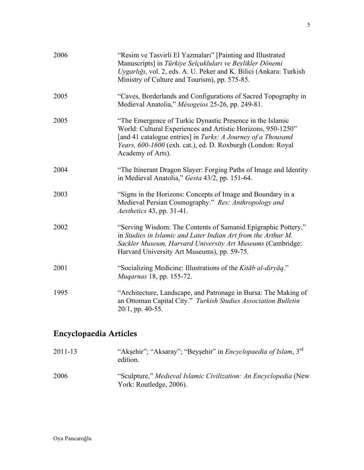| 2006 | "Resim ve Tasvirli El Yazmaları" [Painting and Illustrated]<br>Manuscripts] in Türkiye Selçukluları ve Beylikler Dönemi<br>Uygarlığı, vol. 2, eds. A. U. Peker and K. Bilici (Ankara: Turkish<br>Ministry of Culture and Tourism), pp. 575-85.                                |
|------|-------------------------------------------------------------------------------------------------------------------------------------------------------------------------------------------------------------------------------------------------------------------------------|
| 2005 | "Caves, Borderlands and Configurations of Sacred Topography in<br>Medieval Anatolia," Mésogeios 25-26, pp. 249-81.                                                                                                                                                            |
| 2005 | "The Emergence of Turkic Dynastic Presence in the Islamic<br>World: Cultural Experiences and Artistic Horizons, 950-1250"<br>[and 41 catalogue entries] in Turks: A Journey of a Thousand<br>Years, 600-1600 (exh. cat.), ed. D. Roxburgh (London: Royal<br>Academy of Arts). |
| 2004 | "The Itinerant Dragon Slayer: Forging Paths of Image and Identity<br>in Medieval Anatolia," Gesta 43/2, pp. 151-64.                                                                                                                                                           |
| 2003 | "Signs in the Horizons: Concepts of Image and Boundary in a<br>Medieval Persian Cosmography." Res: Anthropology and<br><i>Aesthetics</i> 43, pp. 31-41.                                                                                                                       |
| 2002 | "Serving Wisdom: The Contents of Samanid Epigraphic Pottery,"<br>in Studies in Islamic and Later Indian Art from the Arthur M.<br>Sackler Museum, Harvard University Art Museums (Cambridge:<br>Harvard University Art Museums), pp. 59-75.                                   |
| 2001 | "Socializing Medicine: Illustrations of the Kitab al-diryaq."<br><i>Mugarnas</i> 18, pp. 155-72.                                                                                                                                                                              |
| 1995 | "Architecture, Landscape, and Patronage in Bursa: The Making of<br>an Ottoman Capital City." Turkish Studies Association Bulletin<br>$20/1$ , pp. 40-55.                                                                                                                      |

## Encyclopaedia Articles

| 2011-13 | "Akşehir"; "Aksaray"; "Beyşehir" in <i>Encyclopaedia of Islam</i> , 3 <sup>rd</sup><br>edition. |
|---------|-------------------------------------------------------------------------------------------------|
| 2006    | "Sculpture," Medieval Islamic Civilization: An Encyclopedia (New<br>York: Routledge, 2006).     |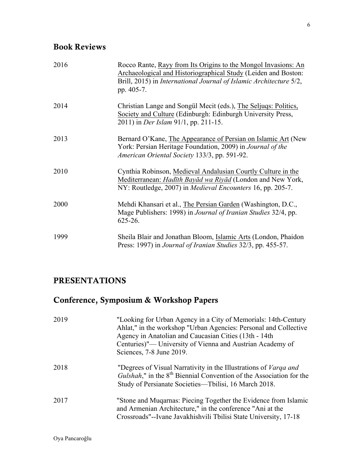## Book Reviews

| 2016 | Rocco Rante, Rayy from Its Origins to the Mongol Invasions: An<br>Archaeological and Historiographical Study (Leiden and Boston:<br>Brill, 2015) in International Journal of Islamic Architecture 5/2,<br>pp. 405-7. |
|------|----------------------------------------------------------------------------------------------------------------------------------------------------------------------------------------------------------------------|
| 2014 | Christian Lange and Songül Mecit (eds.), The Seljuqs: Politics,<br>Society and Culture (Edinburgh: Edinburgh University Press,<br>2011) in <i>Der Islam</i> 91/1, pp. 211-15.                                        |
| 2013 | Bernard O'Kane, The Appearance of Persian on Islamic Art (New<br>York: Persian Heritage Foundation, 2009) in <i>Journal of the</i><br>American Oriental Society 133/3, pp. 591-92.                                   |
| 2010 | Cynthia Robinson, Medieval Andalusian Courtly Culture in the<br>Mediterranean: Hadīth Bayād wa Riyād (London and New York,<br>NY: Routledge, 2007) in <i>Medieval Encounters</i> 16, pp. 205-7.                      |
| 2000 | Mehdi Khansari et al., The Persian Garden (Washington, D.C.,<br>Mage Publishers: 1998) in <i>Journal of Iranian Studies</i> 32/4, pp.<br>$625 - 26$ .                                                                |
| 1999 | Sheila Blair and Jonathan Bloom, Islamic Arts (London, Phaidon<br>Press: 1997) in Journal of Iranian Studies 32/3, pp. 455-57.                                                                                       |

#### PRESENTATIONS

## Conference, Symposium & Workshop Papers

| 2019 | "Looking for Urban Agency in a City of Memorials: 14th-Century<br>Ahlat," in the workshop "Urban Agencies: Personal and Collective<br>Agency in Anatolian and Caucasian Cities (13th - 14th<br>Centuries)"— University of Vienna and Austrian Academy of<br>Sciences, 7-8 June 2019. |
|------|--------------------------------------------------------------------------------------------------------------------------------------------------------------------------------------------------------------------------------------------------------------------------------------|
| 2018 | "Degrees of Visual Narrativity in the Illustrations of <i>Varga and</i><br>Gulshah," in the $8th$ Biennial Convention of the Association for the<br>Study of Persianate Societies—Tbilisi, 16 March 2018.                                                                            |
| 2017 | "Stone and Muqarnas: Piecing Together the Evidence from Islamic<br>and Armenian Architecture," in the conference "Ani at the<br>Crossroads"--Ivane Javakhishvili Tbilisi State University, 17-18                                                                                     |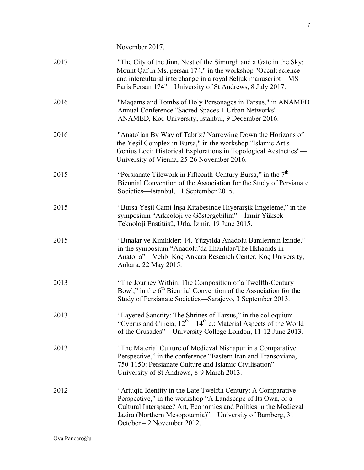November 2017.

| 2017 | "The City of the Jinn, Nest of the Simurgh and a Gate in the Sky:<br>Mount Qaf in Ms. persan 174," in the workshop "Occult science<br>and intercultural interchange in a royal Seljuk manuscript – MS<br>Paris Persan 174"—University of St Andrews, 8 July 2017.                         |
|------|-------------------------------------------------------------------------------------------------------------------------------------------------------------------------------------------------------------------------------------------------------------------------------------------|
| 2016 | "Magams and Tombs of Holy Personages in Tarsus," in ANAMED<br>Annual Conference "Sacred Spaces + Urban Networks"-<br>ANAMED, Koç University, Istanbul, 9 December 2016.                                                                                                                   |
| 2016 | "Anatolian By Way of Tabriz? Narrowing Down the Horizons of<br>the Yesil Complex in Bursa," in the workshop "Islamic Art's<br>Genius Loci: Historical Explorations in Topological Aesthetics"-<br>University of Vienna, 25-26 November 2016.                                              |
| 2015 | "Persianate Tilework in Fifteenth-Century Bursa," in the $7th$<br>Biennial Convention of the Association for the Study of Persianate<br>Societies—Istanbul, 11 September 2015.                                                                                                            |
| 2015 | "Bursa Yeşil Cami İnşa Kitabesinde Hiyerarşik İmgeleme," in the<br>symposium "Arkeoloji ve Göstergebilim"—İzmir Yüksek<br>Teknoloji Enstitüsü, Urla, İzmir, 19 June 2015.                                                                                                                 |
| 2015 | "Binalar ve Kimlikler: 14. Yüzyılda Anadolu Banilerinin İzinde,"<br>in the symposium "Anadolu'da İlhanlılar/The Ilkhanids in<br>Anatolia"—Vehbi Koç Ankara Research Center, Koç University,<br>Ankara, 22 May 2015.                                                                       |
| 2013 | "The Journey Within: The Composition of a Twelfth-Century<br>Bowl," in the $6th$ Biennial Convention of the Association for the<br>Study of Persianate Societies—Sarajevo, 3 September 2013.                                                                                              |
| 2013 | "Layered Sanctity: The Shrines of Tarsus," in the colloquium<br>"Cyprus and Cilicia, $12^{th} - 14^{th}$ c.: Material Aspects of the World<br>of the Crusades"—University College London, 11-12 June 2013.                                                                                |
| 2013 | "The Material Culture of Medieval Nishapur in a Comparative<br>Perspective," in the conference "Eastern Iran and Transoxiana,<br>750-1150: Persianate Culture and Islamic Civilisation"-<br>University of St Andrews, 8-9 March 2013.                                                     |
| 2012 | "Artuqid Identity in the Late Twelfth Century: A Comparative<br>Perspective," in the workshop "A Landscape of Its Own, or a<br>Cultural Interspace? Art, Economies and Politics in the Medieval<br>Jazira (Northern Mesopotamia)"—University of Bamberg, 31<br>October - 2 November 2012. |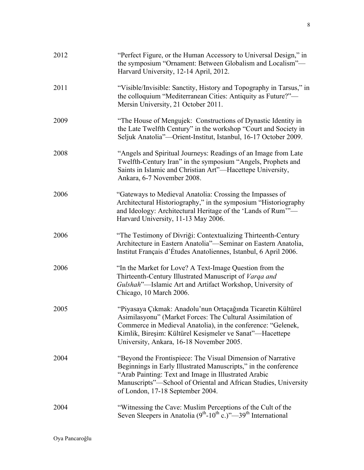| 2012 | "Perfect Figure, or the Human Accessory to Universal Design," in<br>the symposium "Ornament: Between Globalism and Localism"-<br>Harvard University, 12-14 April, 2012.                                                                                                                            |
|------|----------------------------------------------------------------------------------------------------------------------------------------------------------------------------------------------------------------------------------------------------------------------------------------------------|
| 2011 | "Visible/Invisible: Sanctity, History and Topography in Tarsus," in<br>the colloquium "Mediterranean Cities: Antiquity as Future?"—<br>Mersin University, 21 October 2011.                                                                                                                         |
| 2009 | "The House of Mengujek: Constructions of Dynastic Identity in<br>the Late Twelfth Century" in the workshop "Court and Society in<br>Seljuk Anatolia"—Orient-Institut, Istanbul, 16-17 October 2009.                                                                                                |
| 2008 | "Angels and Spiritual Journeys: Readings of an Image from Late<br>Twelfth-Century Iran" in the symposium "Angels, Prophets and<br>Saints in Islamic and Christian Art"-Hacettepe University,<br>Ankara, 6-7 November 2008.                                                                         |
| 2006 | "Gateways to Medieval Anatolia: Crossing the Impasses of<br>Architectural Historiography," in the symposium "Historiography<br>and Ideology: Architectural Heritage of the 'Lands of Rum'"-<br>Harvard University, 11-13 May 2006.                                                                 |
| 2006 | "The Testimony of Divriği: Contextualizing Thirteenth-Century<br>Architecture in Eastern Anatolia"—Seminar on Eastern Anatolia,<br>Institut Français d'Études Anatoliennes, Istanbul, 6 April 2006.                                                                                                |
| 2006 | "In the Market for Love? A Text-Image Question from the<br>Thirteenth-Century Illustrated Manuscript of Varga and<br>Gulshah"-Islamic Art and Artifact Workshop, University of<br>Chicago, 10 March 2006.                                                                                          |
| 2005 | "Piyasaya Çıkmak: Anadolu'nun Ortaçağında Ticaretin Kültürel<br>Asimilasyonu" (Market Forces: The Cultural Assimilation of<br>Commerce in Medieval Anatolia), in the conference: "Gelenek,<br>Kimlik, Bireşim: Kültürel Kesişmeler ve Sanat"—Hacettepe<br>University, Ankara, 16-18 November 2005. |
| 2004 | "Beyond the Frontispiece: The Visual Dimension of Narrative<br>Beginnings in Early Illustrated Manuscripts," in the conference<br>"Arab Painting: Text and Image in Illustrated Arabic<br>Manuscripts"-School of Oriental and African Studies, University<br>of London, 17-18 September 2004.      |
| 2004 | "Witnessing the Cave: Muslim Perceptions of the Cult of the<br>Seven Sleepers in Anatolia $(9^{th} \text{-} 10^{th} \text{ c.})^2$ 79 <sup>th</sup> International                                                                                                                                  |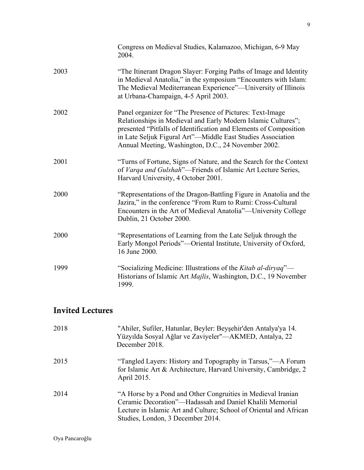|      | Congress on Medieval Studies, Kalamazoo, Michigan, 6-9 May<br>2004.                                                                                                                                                                                                                                                   |
|------|-----------------------------------------------------------------------------------------------------------------------------------------------------------------------------------------------------------------------------------------------------------------------------------------------------------------------|
| 2003 | "The Itinerant Dragon Slayer: Forging Paths of Image and Identity<br>in Medieval Anatolia," in the symposium "Encounters with Islam:<br>The Medieval Mediterranean Experience"—University of Illinois<br>at Urbana-Champaign, 4-5 April 2003.                                                                         |
| 2002 | Panel organizer for "The Presence of Pictures: Text-Image<br>Relationships in Medieval and Early Modern Islamic Cultures";<br>presented "Pitfalls of Identification and Elements of Composition<br>in Late Seljuk Figural Art"—Middle East Studies Association<br>Annual Meeting, Washington, D.C., 24 November 2002. |
| 2001 | "Turns of Fortune, Signs of Nature, and the Search for the Context<br>of Varqa and Gulshah"—Friends of Islamic Art Lecture Series,<br>Harvard University, 4 October 2001.                                                                                                                                             |
| 2000 | "Representations of the Dragon-Battling Figure in Anatolia and the<br>Jazira," in the conference "From Rum to Rumi: Cross-Cultural<br>Encounters in the Art of Medieval Anatolia"—University College<br>Dublin, 21 October 2000.                                                                                      |
| 2000 | "Representations of Learning from the Late Seljuk through the<br>Early Mongol Periods"—Oriental Institute, University of Oxford,<br>16 June 2000.                                                                                                                                                                     |
| 1999 | "Socializing Medicine: Illustrations of the Kitab al-diryaq"—<br>Historians of Islamic Art <i>Majlis</i> , Washington, D.C., 19 November<br>1999.                                                                                                                                                                     |

## Invited Lectures

| 2018 | "Ahiler, Sufiler, Hatunlar, Beyler: Beyşehir'den Antalya'ya 14.<br>Yüzyılda Sosyal Ağlar ve Zaviyeler"—AKMED, Antalya, 22<br>December 2018.                                                                                         |
|------|-------------------------------------------------------------------------------------------------------------------------------------------------------------------------------------------------------------------------------------|
| 2015 | "Tangled Layers: History and Topography in Tarsus,"—A Forum<br>for Islamic Art & Architecture, Harvard University, Cambridge, 2<br>April 2015.                                                                                      |
| 2014 | "A Horse by a Pond and Other Congruities in Medieval Iranian<br>Ceramic Decoration"—Hadassah and Daniel Khalili Memorial<br>Lecture in Islamic Art and Culture; School of Oriental and African<br>Studies, London, 3 December 2014. |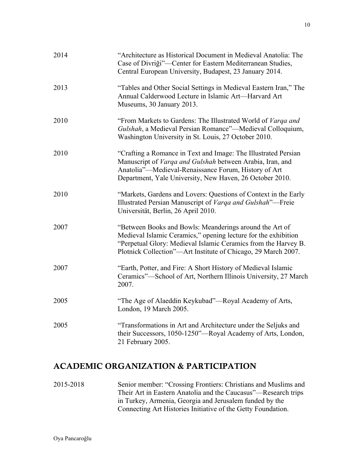| 2014 | "Architecture as Historical Document in Medieval Anatolia: The<br>Case of Divriği"—Center for Eastern Mediterranean Studies,<br>Central European University, Budapest, 23 January 2014.                                                                      |
|------|--------------------------------------------------------------------------------------------------------------------------------------------------------------------------------------------------------------------------------------------------------------|
| 2013 | "Tables and Other Social Settings in Medieval Eastern Iran," The<br>Annual Calderwood Lecture in Islamic Art—Harvard Art<br>Museums, 30 January 2013.                                                                                                        |
| 2010 | "From Markets to Gardens: The Illustrated World of Varga and<br>Gulshah, a Medieval Persian Romance"—Medieval Colloquium,<br>Washington University in St. Louis, 27 October 2010.                                                                            |
| 2010 | "Crafting a Romance in Text and Image: The Illustrated Persian<br>Manuscript of Varqa and Gulshah between Arabia, Iran, and<br>Anatolia"-Medieval-Renaissance Forum, History of Art<br>Department, Yale University, New Haven, 26 October 2010.              |
| 2010 | "Markets, Gardens and Lovers: Questions of Context in the Early<br>Illustrated Persian Manuscript of Varga and Gulshah"—Freie<br>Universität, Berlin, 26 April 2010.                                                                                         |
| 2007 | "Between Books and Bowls: Meanderings around the Art of<br>Medieval Islamic Ceramics," opening lecture for the exhibition<br>"Perpetual Glory: Medieval Islamic Ceramics from the Harvey B.<br>Plotnick Collection"—Art Institute of Chicago, 29 March 2007. |
| 2007 | "Earth, Potter, and Fire: A Short History of Medieval Islamic<br>Ceramics"-School of Art, Northern Illinois University, 27 March<br>2007.                                                                                                                    |
| 2005 | "The Age of Alaeddin Keykubad"—Royal Academy of Arts,<br>London, 19 March 2005.                                                                                                                                                                              |
| 2005 | "Transformations in Art and Architecture under the Seljuks and<br>their Successors, 1050-1250"-Royal Academy of Arts, London,<br>21 February 2005.                                                                                                           |

#### ACADEMIC ORGANIZATION & PARTICIPATION

2015-2018 Senior member: "Crossing Frontiers: Christians and Muslims and Their Art in Eastern Anatolia and the Caucasus"—Research trips in Turkey, Armenia, Georgia and Jerusalem funded by the Connecting Art Histories Initiative of the Getty Foundation.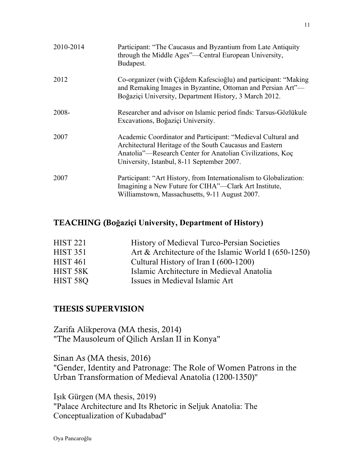| 2010-2014 | Participant: "The Caucasus and Byzantium from Late Antiquity<br>through the Middle Ages"—Central European University,<br>Budapest.                                                                                                   |
|-----------|--------------------------------------------------------------------------------------------------------------------------------------------------------------------------------------------------------------------------------------|
| 2012      | Co-organizer (with Ciğdem Kafescioğlu) and participant: "Making<br>and Remaking Images in Byzantine, Ottoman and Persian Art"-<br>Boğaziçi University, Department History, 3 March 2012.                                             |
| 2008-     | Researcher and advisor on Islamic period finds: Tarsus-Gözlükule<br>Excavations, Boğaziçi University.                                                                                                                                |
| 2007      | Academic Coordinator and Participant: "Medieval Cultural and<br>Architectural Heritage of the South Caucasus and Eastern<br>Anatolia"—Research Center for Anatolian Civilizations, Koç<br>University, Istanbul, 8-11 September 2007. |
| 2007      | Participant: "Art History, from Internationalism to Globalization:<br>Imagining a New Future for CIHA"—Clark Art Institute,<br>Williamstown, Massachusetts, 9-11 August 2007.                                                        |

#### TEACHING (Bo**ğaziçi University, Department of History)**

| <b>HIST 221</b> | History of Medieval Turco-Persian Societies          |
|-----------------|------------------------------------------------------|
| <b>HIST 351</b> | Art & Architecture of the Islamic World I (650-1250) |
| <b>HIST 461</b> | Cultural History of Iran I (600-1200)                |
| HIST 58K        | Islamic Architecture in Medieval Anatolia            |
| HIST 58Q        | Issues in Medieval Islamic Art                       |

#### THESIS SUPERVISION

Zarifa Alikperova (MA thesis, 2014) "The Mausoleum of Qilich Arslan II in Konya"

Sinan As (MA thesis, 2016) "Gender, Identity and Patronage: The Role of Women Patrons in the Urban Transformation of Medieval Anatolia (1200-1350)"

Işık Gürgen (MA thesis, 2019) "Palace Architecture and Its Rhetoric in Seljuk Anatolia: The Conceptualization of Kubadabad"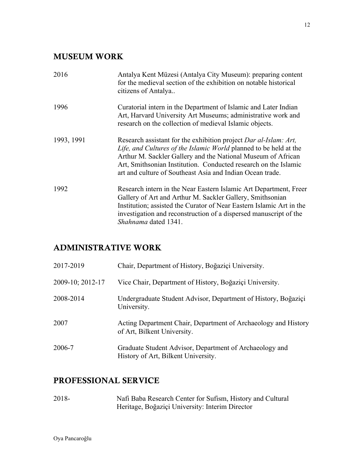#### MUSEUM WORK

| 2016       | Antalya Kent Müzesi (Antalya City Museum): preparing content<br>for the medieval section of the exhibition on notable historical<br>citizens of Antalya                                                                                                                                                                               |
|------------|---------------------------------------------------------------------------------------------------------------------------------------------------------------------------------------------------------------------------------------------------------------------------------------------------------------------------------------|
| 1996       | Curatorial intern in the Department of Islamic and Later Indian<br>Art, Harvard University Art Museums; administrative work and<br>research on the collection of medieval Islamic objects.                                                                                                                                            |
| 1993, 1991 | Research assistant for the exhibition project Dar al-Islam: Art,<br>Life, and Cultures of the Islamic World planned to be held at the<br>Arthur M. Sackler Gallery and the National Museum of African<br>Art, Smithsonian Institution. Conducted research on the Islamic<br>art and culture of Southeast Asia and Indian Ocean trade. |
| 1992       | Research intern in the Near Eastern Islamic Art Department, Freer<br>Gallery of Art and Arthur M. Sackler Gallery, Smithsonian<br>Institution; assisted the Curator of Near Eastern Islamic Art in the<br>investigation and reconstruction of a dispersed manuscript of the<br><i>Shahnama</i> dated 1341.                            |

#### ADMINISTRATIVE WORK

| 2017-2019        | Chair, Department of History, Boğaziçi University.                                             |
|------------------|------------------------------------------------------------------------------------------------|
| 2009-10; 2012-17 | Vice Chair, Department of History, Boğaziçi University.                                        |
| 2008-2014        | Undergraduate Student Advisor, Department of History, Boğaziçi<br>University.                  |
| 2007             | Acting Department Chair, Department of Archaeology and History<br>of Art, Bilkent University.  |
| 2006-7           | Graduate Student Advisor, Department of Archaeology and<br>History of Art, Bilkent University. |

## PROFESSIONAL SERVICE

2018- Nafi Baba Research Center for Sufism, History and Cultural Heritage, Boğaziçi University: Interim Director